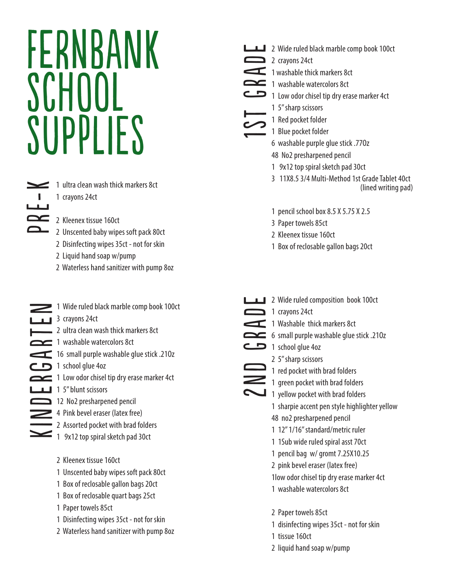## FERNBANK SCHOOL **SUPPLIES**

KINDERGARTEN PRE-K $\mathbf{r}$ الطائطا

- 1 ultra clean wash thick markers 8ct 1 crayons 24ct
- 2 Kleenex tissue 160ct
- 2 Unscented baby wipes soft pack 80ct
	- 2 Disinfecting wipes 35ct not for skin
	- 2 Liquid hand soap w/pump
	- 2 Waterless hand sanitizer with pump 8oz
- 1 Wide ruled black marble comp book 100ct **1** 3 crayons 24ct 2 ultra clean wash thick markers 8ct 1 washable watercolors 8ct 16 small purple washable glue stick .210z 1 school glue 4oz 1 Low odor chisel tip dry erase marker 4ct **LALEST** 1 5" blunt scissors 12 No2 presharpened pencil 4 Pink bevel eraser (latex free) <sup>2</sup> Assorted pocket with brad folders
	- 1 9x12 top spiral sketch pad 30ct
		- 2 Kleenex tissue 160ct
		- 1 Unscented baby wipes soft pack 80ct
		- 1 Box of reclosable gallon bags 20ct
		- 1 Box of reclosable quart bags 25ct
		- 1 Paper towels 85ct
		- 1 Disinfecting wipes 35ct not for skin
		- 2 Waterless hand sanitizer with pump 8oz
- 2 Wide ruled black marble comp book 100ct
- 2 crayons 24ct 1ST GRADE
- 1 washable thick markers 8ct
- 1 washable watercolors 8ct
	- 1 Low odor chisel tip dry erase marker 4ct
	- 1 5" sharp scissors
	- 1 Red pocket folder
		- 1 Blue pocket folder
		- 6 washable purple glue stick .77Oz
		- 48 No2 presharpened pencil
		- 1 9x12 top spiral sketch pad 30ct
		- 3 11X8.5 3/4 Multi-Method 1st Grade Tablet 40ct (lined writing pad)
		- 1 pencil school box 8.5 X 5.75 X 2.5
		- 3 Paper towels 85ct
		- 2 Kleenex tissue 160ct
		- 1 Box of reclosable gallon bags 20ct
- 2 Wide ruled composition book 100ct<br>1 crayons 24ct<br>1 Washable thick markers 8ct<br>6 small purple washable glue stick .21<br>1 school glue 4oz<br>2 5" sharp scissors<br>1 red pocket with brad folders<br>1 green pocket with brad folders<br>1
- 1 crayons 24ct
- 1 Washable thick markers 8ct
- 6 small purple washable glue stick .21Oz
- 1 school glue 4oz
	- 2 5" sharp scissors
	- $\mathbf{1}$  red pocket with brad folders
	- $\leq 1$  green pocket with brad folders
- 1 yellow pocket with brad folders

1 sharpie accent pen style highlighter yellow 48 no2 presharpened pencil

- 1 12" 1/16" standard/metric ruler
- 1 1Sub wide ruled spiral asst 70ct
- 1 pencil bag w/ gromt 7.25X10.25
- 2 pink bevel eraser (latex free)
- 1low odor chisel tip dry erase marker 4ct
- 1 washable watercolors 8ct
- 2 Paper towels 85ct
- 1 disinfecting wipes 35ct not for skin
- 1 tissue 160ct
- 2 liquid hand soap w/pump
- 
-